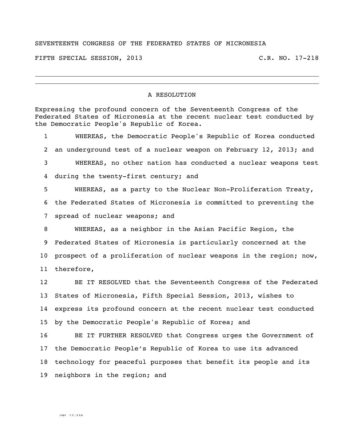## SEVENTEENTH CONGRESS OF THE FEDERATED STATES OF MICRONESIA

FIFTH SPECIAL SESSION, 2013 C.R. NO. 17-218

## A RESOLUTION

Expressing the profound concern of the Seventeenth Congress of the Federated States of Micronesia at the recent nuclear test conducted by the Democratic People's Republic of Korea.

 WHEREAS, the Democratic People's Republic of Korea conducted an underground test of a nuclear weapon on February 12, 2013; and WHEREAS, no other nation has conducted a nuclear weapons test during the twenty-first century; and WHEREAS, as a party to the Nuclear Non-Proliferation Treaty, the Federated States of Micronesia is committed to preventing the

spread of nuclear weapons; and

 WHEREAS, as a neighbor in the Asian Pacific Region, the Federated States of Micronesia is particularly concerned at the prospect of a proliferation of nuclear weapons in the region; now, therefore,

 BE IT RESOLVED that the Seventeenth Congress of the Federated States of Micronesia, Fifth Special Session, 2013, wishes to express its profound concern at the recent nuclear test conducted by the Democratic People's Republic of Korea; and

 BE IT FURTHER RESOLVED that Congress urges the Government of the Democratic People's Republic of Korea to use its advanced technology for peaceful purposes that benefit its people and its neighbors in the region; and